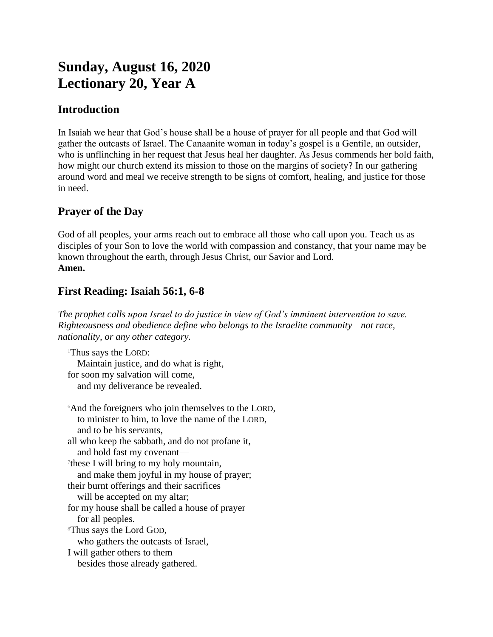# **Sunday, August 16, 2020 Lectionary 20, Year A**

## **Introduction**

In Isaiah we hear that God's house shall be a house of prayer for all people and that God will gather the outcasts of Israel. The Canaanite woman in today's gospel is a Gentile, an outsider, who is unflinching in her request that Jesus heal her daughter. As Jesus commends her bold faith, how might our church extend its mission to those on the margins of society? In our gathering around word and meal we receive strength to be signs of comfort, healing, and justice for those in need.

## **Prayer of the Day**

God of all peoples, your arms reach out to embrace all those who call upon you. Teach us as disciples of your Son to love the world with compassion and constancy, that your name may be known throughout the earth, through Jesus Christ, our Savior and Lord. **Amen.**

## **First Reading: Isaiah 56:1, 6-8**

*The prophet calls upon Israel to do justice in view of God's imminent intervention to save. Righteousness and obedience define who belongs to the Israelite community—not race, nationality, or any other category.*

<sup>1</sup>Thus says the LORD: Maintain justice, and do what is right, for soon my salvation will come, and my deliverance be revealed.

<sup>6</sup>And the foreigners who join themselves to the LORD, to minister to him, to love the name of the LORD, and to be his servants, all who keep the sabbath, and do not profane it, and hold fast my covenant— 7 these I will bring to my holy mountain, and make them joyful in my house of prayer; their burnt offerings and their sacrifices will be accepted on my altar; for my house shall be called a house of prayer for all peoples. <sup>8</sup>Thus says the Lord GOD, who gathers the outcasts of Israel, I will gather others to them besides those already gathered.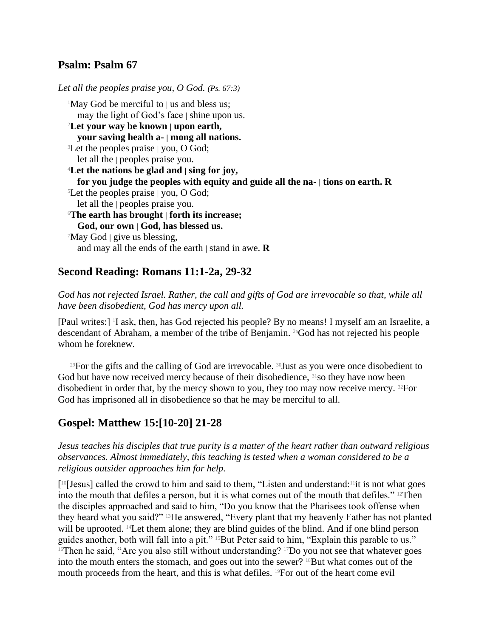### **Psalm: Psalm 67**

*Let all the peoples praise you, O God. (Ps. 67:3)* <sup>1</sup>May God be merciful to | us and bless us; may the light of God's face | shine upon us. <sup>2</sup>**Let your way be known | upon earth, your saving health a- | mong all nations.** <sup>3</sup>Let the peoples praise | you, O God; let all the | peoples praise you. <sup>4</sup>**Let the nations be glad and | sing for joy, for you judge the peoples with equity and guide all the na- | tions on earth. R** <sup>5</sup>Let the peoples praise | you, O God; let all the | peoples praise you. <sup>6</sup>**The earth has brought | forth its increase; God, our own | God, has blessed us.**  $^7$ May God  $\vert$  give us blessing, and may all the ends of the earth | stand in awe. **R**

## **Second Reading: Romans 11:1-2a, 29-32**

*God has not rejected Israel. Rather, the call and gifts of God are irrevocable so that, while all have been disobedient, God has mercy upon all.*

[Paul writes:] <sup>1</sup>I ask, then, has God rejected his people? By no means! I myself am an Israelite, a descendant of Abraham, a member of the tribe of Benjamin. 2aGod has not rejected his people whom he foreknew.

<sup>29</sup>For the gifts and the calling of God are irrevocable. <sup>30</sup>Just as you were once disobedient to God but have now received mercy because of their disobedience, <sup>31</sup>so they have now been disobedient in order that, by the mercy shown to you, they too may now receive mercy. 32For God has imprisoned all in disobedience so that he may be merciful to all.

## **Gospel: Matthew 15:[10-20] 21-28**

*Jesus teaches his disciples that true purity is a matter of the heart rather than outward religious observances. Almost immediately, this teaching is tested when a woman considered to be a religious outsider approaches him for help.*

[ <sup>10</sup>[Jesus] called the crowd to him and said to them, "Listen and understand:11it is not what goes into the mouth that defiles a person, but it is what comes out of the mouth that defiles." 12Then the disciples approached and said to him, "Do you know that the Pharisees took offense when they heard what you said?" 13He answered, "Every plant that my heavenly Father has not planted will be uprooted. <sup>14</sup>Let them alone; they are blind guides of the blind. And if one blind person guides another, both will fall into a pit." <sup>15</sup>But Peter said to him, "Explain this parable to us."  $16$ Then he said, "Are you also still without understanding?  $17$ Do you not see that whatever goes into the mouth enters the stomach, and goes out into the sewer? <sup>18</sup>But what comes out of the mouth proceeds from the heart, and this is what defiles. 19For out of the heart come evil